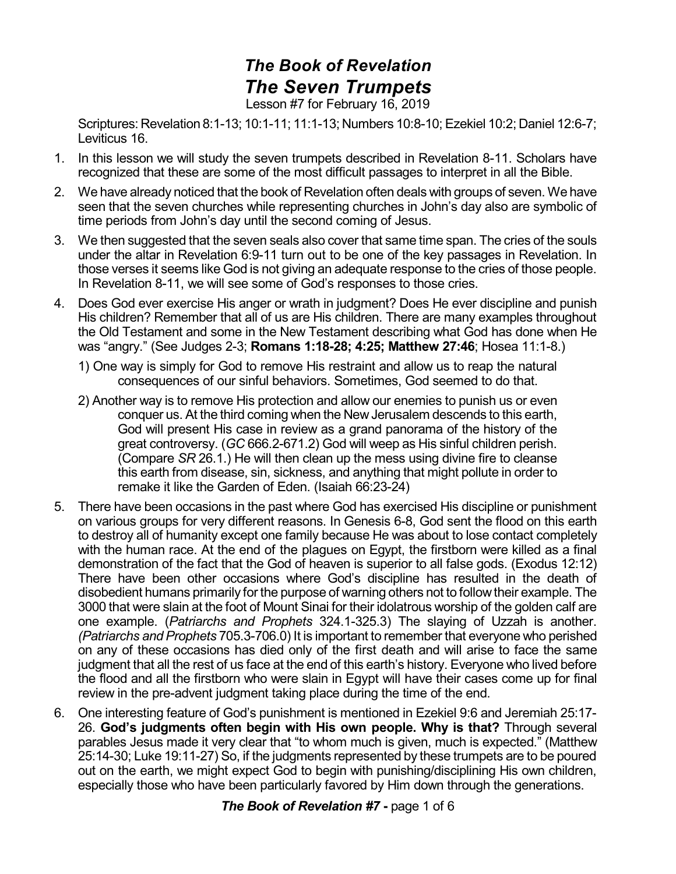## *The Book of Revelation The Seven Trumpets* Lesson #7 for February 16, 2019

Scriptures: Revelation 8:1-13; 10:1-11; 11:1-13; Numbers 10:8-10; Ezekiel 10:2; Daniel 12:6-7; Leviticus 16.

- 1. In this lesson we will study the seven trumpets described in Revelation 8-11. Scholars have recognized that these are some of the most difficult passages to interpret in all the Bible.
- 2. We have already noticed that the book of Revelation often deals with groups of seven. We have seen that the seven churches while representing churches in John's day also are symbolic of time periods from John's day until the second coming of Jesus.
- 3. We then suggested that the seven seals also cover that same time span. The cries of the souls under the altar in Revelation 6:9-11 turn out to be one of the key passages in Revelation. In those verses it seems like God is not giving an adequate response to the cries of those people. In Revelation 8-11, we will see some of God's responses to those cries.
- 4. Does God ever exercise His anger or wrath in judgment? Does He ever discipline and punish His children? Remember that all of us are His children. There are many examples throughout the Old Testament and some in the New Testament describing what God has done when He was "angry." (See Judges 2-3; **Romans 1:18-28; 4:25; Matthew 27:46**; Hosea 11:1-8.)
	- 1) One way is simply for God to remove His restraint and allow us to reap the natural consequences of our sinful behaviors. Sometimes, God seemed to do that.
	- 2) Another way is to remove His protection and allow our enemies to punish us or even conquer us. At the third coming when the New Jerusalem descends to this earth, God will present His case in review as a grand panorama of the history of the great controversy. (*GC* 666.2-671.2) God will weep as His sinful children perish. (Compare *SR* 26.1.) He will then clean up the mess using divine fire to cleanse this earth from disease, sin, sickness, and anything that might pollute in order to remake it like the Garden of Eden. (Isaiah 66:23-24)
- 5. There have been occasions in the past where God has exercised His discipline or punishment on various groups for very different reasons. In Genesis 6-8, God sent the flood on this earth to destroy all of humanity except one family because He was about to lose contact completely with the human race. At the end of the plagues on Egypt, the firstborn were killed as a final demonstration of the fact that the God of heaven is superior to all false gods. (Exodus 12:12) There have been other occasions where God's discipline has resulted in the death of disobedient humans primarily for the purpose of warning others not to followtheir example. The 3000 that were slain at the foot of Mount Sinai for their idolatrous worship of the golden calf are one example. (*Patriarchs and Prophets* 324.1-325.3) The slaying of Uzzah is another. *(Patriarchs and Prophets* 705.3-706.0) It is important to remember that everyone who perished on any of these occasions has died only of the first death and will arise to face the same judgment that all the rest of us face at the end of this earth's history. Everyone who lived before the flood and all the firstborn who were slain in Egypt will have their cases come up for final review in the pre-advent judgment taking place during the time of the end.
- 6. One interesting feature of God's punishment is mentioned in Ezekiel 9:6 and Jeremiah 25:17- 26. **God's judgments often begin with His own people. Why is that?** Through several parables Jesus made it very clear that "to whom much is given, much is expected." (Matthew 25:14-30; Luke 19:11-27) So, if the judgments represented by these trumpets are to be poured out on the earth, we might expect God to begin with punishing/disciplining His own children, especially those who have been particularly favored by Him down through the generations.

*The Book of Revelation #7* **-** page 1 of 6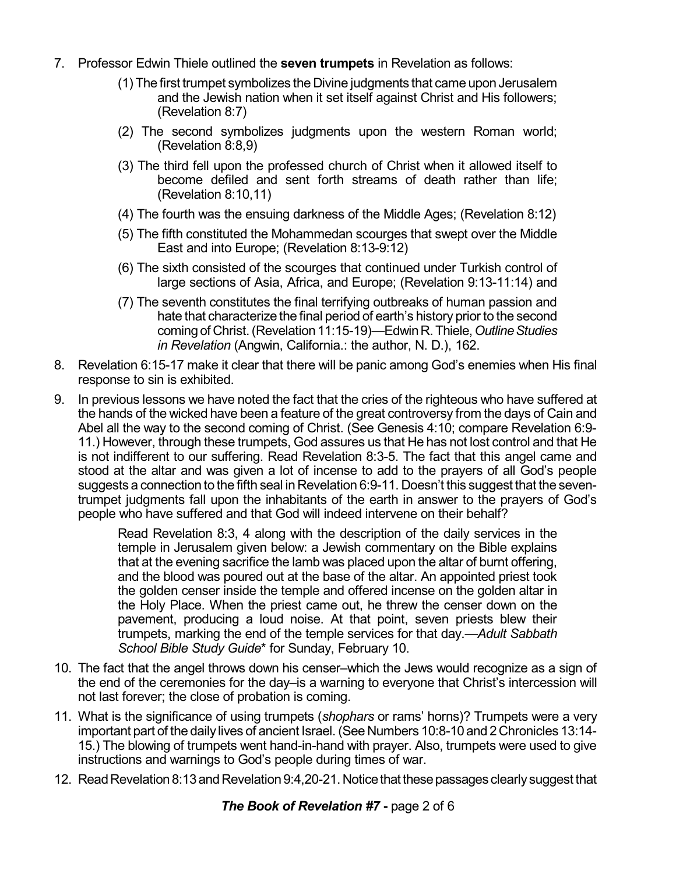- 7. Professor Edwin Thiele outlined the **seven trumpets** in Revelation as follows:
	- (1) The first trumpet symbolizes the Divine judgments that came upon Jerusalem and the Jewish nation when it set itself against Christ and His followers; (Revelation 8:7)
	- (2) The second symbolizes judgments upon the western Roman world; (Revelation 8:8,9)
	- (3) The third fell upon the professed church of Christ when it allowed itself to become defiled and sent forth streams of death rather than life; (Revelation 8:10,11)
	- (4) The fourth was the ensuing darkness of the Middle Ages; (Revelation 8:12)
	- (5) The fifth constituted the Mohammedan scourges that swept over the Middle East and into Europe; (Revelation 8:13-9:12)
	- (6) The sixth consisted of the scourges that continued under Turkish control of large sections of Asia, Africa, and Europe; (Revelation 9:13-11:14) and
	- (7) The seventh constitutes the final terrifying outbreaks of human passion and hate that characterize the final period of earth's history prior to the second comingof Christ.(Revelation11:15-19)—EdwinR.Thiele,*OutlineStudies in Revelation* (Angwin, California.: the author, N. D.), 162.
- 8. Revelation 6:15-17 make it clear that there will be panic among God's enemies when His final response to sin is exhibited.
- 9. In previous lessons we have noted the fact that the cries of the righteous who have suffered at the hands of the wicked have been a feature of the great controversy from the days of Cain and Abel all the way to the second coming of Christ. (See Genesis 4:10; compare Revelation 6:9- 11.) However, through these trumpets, God assures us that He has not lost control and that He is not indifferent to our suffering. Read Revelation 8:3-5. The fact that this angel came and stood at the altar and was given a lot of incense to add to the prayers of all God's people suggests a connection to the fifth seal in Revelation 6:9-11. Doesn't this suggest that the seventrumpet judgments fall upon the inhabitants of the earth in answer to the prayers of God's people who have suffered and that God will indeed intervene on their behalf?

Read Revelation 8:3, 4 along with the description of the daily services in the temple in Jerusalem given below: a Jewish commentary on the Bible explains that at the evening sacrifice the lamb was placed upon the altar of burnt offering, and the blood was poured out at the base of the altar. An appointed priest took the golden censer inside the temple and offered incense on the golden altar in the Holy Place. When the priest came out, he threw the censer down on the pavement, producing a loud noise. At that point, seven priests blew their trumpets, marking the end of the temple services for that day.—*Adult Sabbath School Bible Study Guide*\* for Sunday, February 10.

- 10. The fact that the angel throws down his censer–which the Jews would recognize as a sign of the end of the ceremonies for the day–is a warning to everyone that Christ's intercession will not last forever; the close of probation is coming.
- 11. What is the significance of using trumpets (*shophars* or rams' horns)? Trumpets were a very important part of the daily lives of ancient Israel. (See Numbers 10:8-10 and 2 Chronicles 13:14-15.) The blowing of trumpets went hand-in-hand with prayer. Also, trumpets were used to give instructions and warnings to God's people during times of war.
- 12. Read Revelation 8:13 and Revelation 9:4,20-21. Notice that these passages clearly suggest that

## *The Book of Revelation #7* **-** page 2 of 6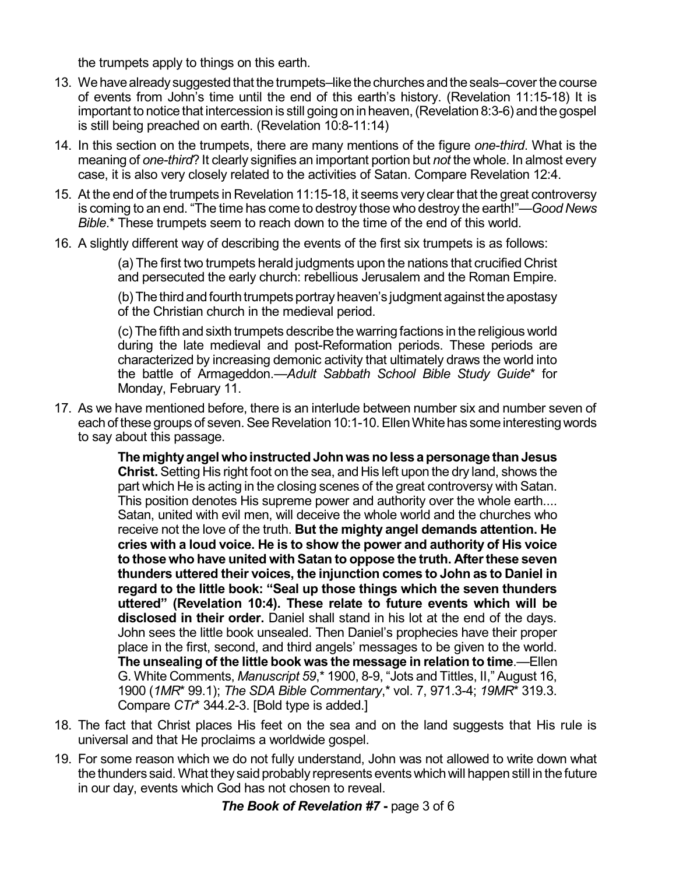the trumpets apply to things on this earth.

- 13. We have already suggested that the trumpets–like the churches and the seals–cover the course of events from John's time until the end of this earth's history. (Revelation 11:15-18) It is important to notice that intercession is still going on in heaven, (Revelation 8:3-6) and the gospel is still being preached on earth. (Revelation 10:8-11:14)
- 14. In this section on the trumpets, there are many mentions of the figure *one-third*. What is the meaning of *one-third*? It clearly signifies an important portion but *not* the whole. In almost every case, it is also very closely related to the activities of Satan. Compare Revelation 12:4.
- 15. At the end of the trumpets in Revelation 11:15-18, it seems very clear that the great controversy is coming to an end. "The time has come to destroy those who destroy the earth!"—*Good News Bible*.\* These trumpets seem to reach down to the time of the end of this world.
- 16. A slightly different way of describing the events of the first six trumpets is as follows:

(a) The first two trumpets herald judgments upon the nations that crucified Christ and persecuted the early church: rebellious Jerusalem and the Roman Empire.

(b) The third and fourth trumpets portray heaven's judgment against the apostasy of the Christian church in the medieval period.

(c) The fifth and sixth trumpets describe the warring factions in the religious world during the late medieval and post-Reformation periods. These periods are characterized by increasing demonic activity that ultimately draws the world into the battle of Armageddon.—*Adult Sabbath School Bible Study Guide*\* for Monday, February 11.

17. As we have mentioned before, there is an interlude between number six and number seven of each of these groups of seven. See Revelation 10:1-10. Ellen White has some interesting words to say about this passage.

> **Themightyangel whoinstructedJohnwasnolessapersonage thanJesus Christ.** Setting His right foot on the sea, and His left upon the dry land, shows the part which He is acting in the closing scenes of the great controversy with Satan. This position denotes His supreme power and authority over the whole earth.... Satan, united with evil men, will deceive the whole world and the churches who receive not the love of the truth. **But the mighty angel demands attention. He cries with a loud voice. He is to show the power and authority of His voice to those who have united with Satan to oppose the truth. Afterthese seven thunders uttered their voices, the injunction comes to John as to Daniel in regard to the little book: "Seal up those things which the seven thunders uttered" (Revelation 10:4). These relate to future events which will be disclosed in their order.** Daniel shall stand in his lot at the end of the days. John sees the little book unsealed. Then Daniel's prophecies have their proper place in the first, second, and third angels' messages to be given to the world. **The unsealing of the little book was the message in relation to time**.—Ellen G. White Comments, *Manuscript 59*,\* 1900, 8-9, "Jots and Tittles, II," August 16, 1900 (*1MR*\* 99.1); *The SDA Bible Commentary*,\* vol. 7, 971.3-4; *19MR*\* 319.3. Compare *CTr*\* 344.2-3. [Bold type is added.]

- 18. The fact that Christ places His feet on the sea and on the land suggests that His rule is universal and that He proclaims a worldwide gospel.
- 19. For some reason which we do not fully understand, John was not allowed to write down what the thunders said. What they said probably represents events which will happen still in the future in our day, events which God has not chosen to reveal.

*The Book of Revelation #7* **-** page 3 of 6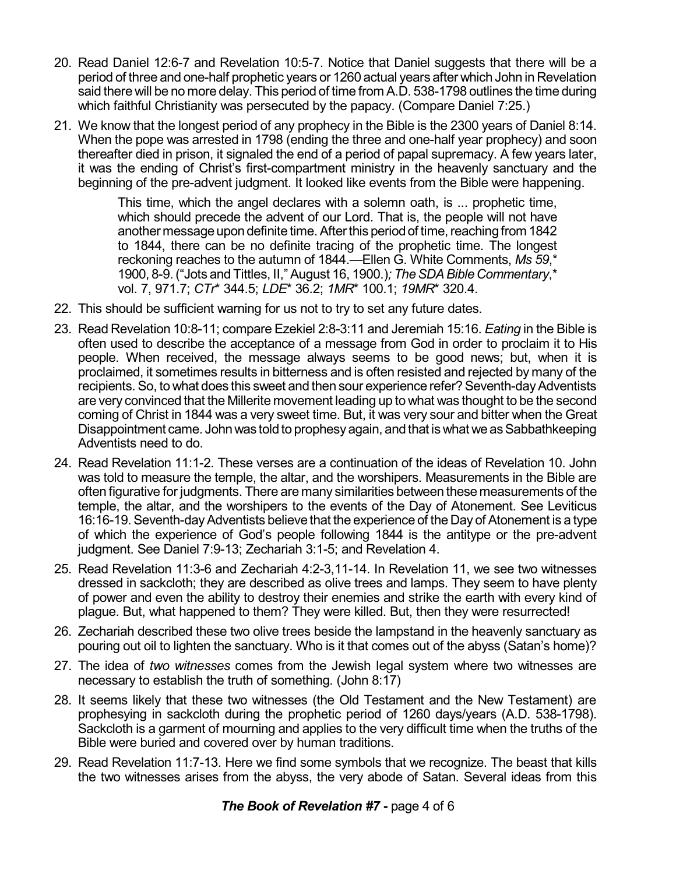- 20. Read Daniel 12:6-7 and Revelation 10:5-7. Notice that Daniel suggests that there will be a period of three and one-half prophetic years or 1260 actual years after which John in Revelation said there will be no more delay. This period of time from A.D. 538-1798 outlines the time during which faithful Christianity was persecuted by the papacy. (Compare Daniel 7:25.)
- 21. We know that the longest period of any prophecy in the Bible is the 2300 years of Daniel 8:14. When the pope was arrested in 1798 (ending the three and one-half year prophecy) and soon thereafter died in prison, it signaled the end of a period of papal supremacy. A few years later, it was the ending of Christ's first-compartment ministry in the heavenly sanctuary and the beginning of the pre-advent judgment. It looked like events from the Bible were happening.

This time, which the angel declares with a solemn oath, is ... prophetic time, which should precede the advent of our Lord. That is, the people will not have another message upon definite time. After this period of time, reaching from 1842 to 1844, there can be no definite tracing of the prophetic time. The longest reckoning reaches to the autumn of 1844.—Ellen G. White Comments, *Ms 59*,\* 1900, 8-9.("Jots and Tittles, II," August 16, 1900.)*; TheSDABibleCommentary*,\* vol. 7, 971.7; *CTr*\* 344.5; *LDE*\* 36.2; *1MR*\* 100.1; *19MR*\* 320.4.

- 22. This should be sufficient warning for us not to try to set any future dates.
- 23. Read Revelation 10:8-11; compare Ezekiel 2:8-3:11 and Jeremiah 15:16. *Eating* in the Bible is often used to describe the acceptance of a message from God in order to proclaim it to His people. When received, the message always seems to be good news; but, when it is proclaimed, it sometimes results in bitterness and is often resisted and rejected by many of the recipients. So, to what does this sweet and then sour experience refer? Seventh-day Adventists are very convinced that the Millerite movement leading up to what was thought to be the second coming of Christ in 1844 was a very sweet time. But, it was very sour and bitter when the Great Disappointment came. John was told to prophesy again, and that is what we as Sabbathkeeping Adventists need to do.
- 24. Read Revelation 11:1-2. These verses are a continuation of the ideas of Revelation 10. John was told to measure the temple, the altar, and the worshipers. Measurements in the Bible are often figurative for judgments. There are many similarities between these measurements of the temple, the altar, and the worshipers to the events of the Day of Atonement. See Leviticus 16:16-19. Seventh-day Adventists believe that the experience of the Day of Atonement is a type of which the experience of God's people following 1844 is the antitype or the pre-advent judgment. See Daniel 7:9-13; Zechariah 3:1-5; and Revelation 4.
- 25. Read Revelation 11:3-6 and Zechariah 4:2-3,11-14. In Revelation 11, we see two witnesses dressed in sackcloth; they are described as olive trees and lamps. They seem to have plenty of power and even the ability to destroy their enemies and strike the earth with every kind of plague. But, what happened to them? They were killed. But, then they were resurrected!
- 26. Zechariah described these two olive trees beside the lampstand in the heavenly sanctuary as pouring out oil to lighten the sanctuary. Who is it that comes out of the abyss (Satan's home)?
- 27. The idea of *two witnesses* comes from the Jewish legal system where two witnesses are necessary to establish the truth of something. (John 8:17)
- 28. It seems likely that these two witnesses (the Old Testament and the New Testament) are prophesying in sackcloth during the prophetic period of 1260 days/years (A.D. 538-1798). Sackcloth is a garment of mourning and applies to the very difficult time when the truths of the Bible were buried and covered over by human traditions.
- 29. Read Revelation 11:7-13. Here we find some symbols that we recognize. The beast that kills the two witnesses arises from the abyss, the very abode of Satan. Several ideas from this

*The Book of Revelation #7* **-** page 4 of 6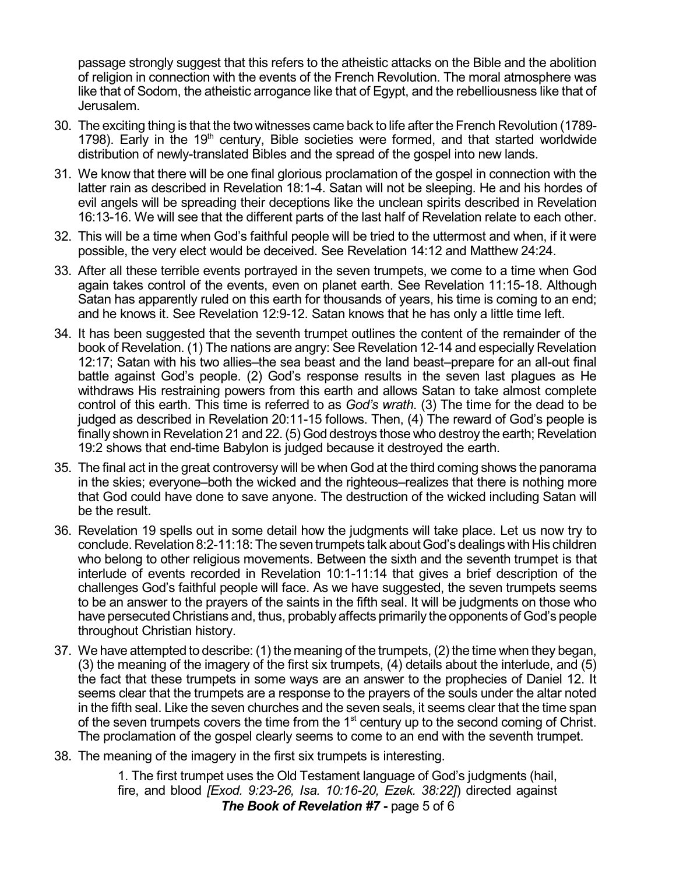passage strongly suggest that this refers to the atheistic attacks on the Bible and the abolition of religion in connection with the events of the French Revolution. The moral atmosphere was like that of Sodom, the atheistic arrogance like that of Egypt, and the rebelliousness like that of Jerusalem.

- 30. The exciting thing is that the two witnesses came back to life after the French Revolution (1789- 1798). Early in the 19<sup>th</sup> century, Bible societies were formed, and that started worldwide distribution of newly-translated Bibles and the spread of the gospel into new lands.
- 31. We know that there will be one final glorious proclamation of the gospel in connection with the latter rain as described in Revelation 18:1-4. Satan will not be sleeping. He and his hordes of evil angels will be spreading their deceptions like the unclean spirits described in Revelation 16:13-16. We will see that the different parts of the last half of Revelation relate to each other.
- 32. This will be a time when God's faithful people will be tried to the uttermost and when, if it were possible, the very elect would be deceived. See Revelation 14:12 and Matthew 24:24.
- 33. After all these terrible events portrayed in the seven trumpets, we come to a time when God again takes control of the events, even on planet earth. See Revelation 11:15-18. Although Satan has apparently ruled on this earth for thousands of years, his time is coming to an end; and he knows it. See Revelation 12:9-12. Satan knows that he has only a little time left.
- 34. It has been suggested that the seventh trumpet outlines the content of the remainder of the book of Revelation. (1) The nations are angry: See Revelation 12-14 and especially Revelation 12:17; Satan with his two allies–the sea beast and the land beast–prepare for an all-out final battle against God's people. (2) God's response results in the seven last plagues as He withdraws His restraining powers from this earth and allows Satan to take almost complete control of this earth. This time is referred to as *God's wrath*. (3) The time for the dead to be judged as described in Revelation 20:11-15 follows. Then, (4) The reward of God's people is finally shown in Revelation 21 and 22. (5) God destroys those who destroy the earth; Revelation 19:2 shows that end-time Babylon is judged because it destroyed the earth.
- 35. The final act in the great controversy will be when God at the third coming shows the panorama in the skies; everyone–both the wicked and the righteous–realizes that there is nothing more that God could have done to save anyone. The destruction of the wicked including Satan will be the result.
- 36. Revelation 19 spells out in some detail how the judgments will take place. Let us now try to conclude. Revelation 8:2-11:18: The seven trumpets talk about God's dealings with His children who belong to other religious movements. Between the sixth and the seventh trumpet is that interlude of events recorded in Revelation 10:1-11:14 that gives a brief description of the challenges God's faithful people will face. As we have suggested, the seven trumpets seems to be an answer to the prayers of the saints in the fifth seal. It will be judgments on those who have persecuted Christians and, thus, probably affects primarily the opponents of God's people throughout Christian history.
- 37. We have attempted to describe: (1) the meaning of the trumpets, (2) the time when they began, (3) the meaning of the imagery of the first six trumpets, (4) details about the interlude, and (5) the fact that these trumpets in some ways are an answer to the prophecies of Daniel 12. It seems clear that the trumpets are a response to the prayers of the souls under the altar noted in the fifth seal. Like the seven churches and the seven seals, it seems clear that the time span of the seven trumpets covers the time from the 1<sup>st</sup> century up to the second coming of Christ. The proclamation of the gospel clearly seems to come to an end with the seventh trumpet.
- 38. The meaning of the imagery in the first six trumpets is interesting.

1. The first trumpet uses the Old Testament language of God's judgments (hail, fire, and blood *[Exod. 9:23-26, Isa. 10:16-20, Ezek. 38:22]*) directed against *The Book of Revelation #7* **-** page 5 of 6